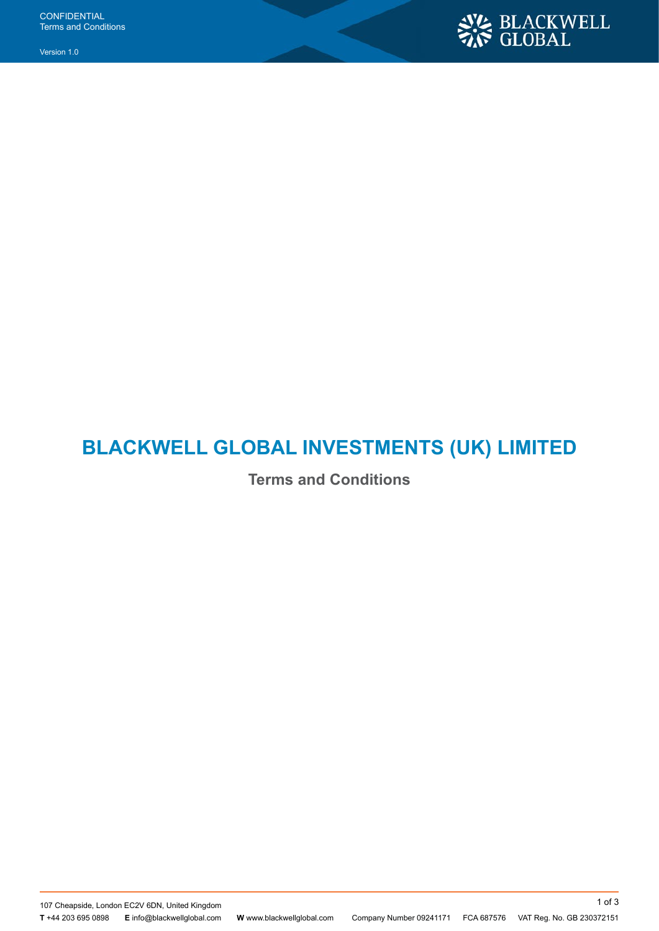Version 1.0



# **BLACKWELL GLOBAL INVESTMENTS (UK) LIMITED**

**Terms and Conditions**

107 Cheapside, London EC2V 6DN, United Kingdom

**T** +44 203 695 0898 **E** info@blackwellglobal.com **W** www.blackwellglobal.com Company Number 09241171 FCA 687576 VAT Reg. No. GB 230372151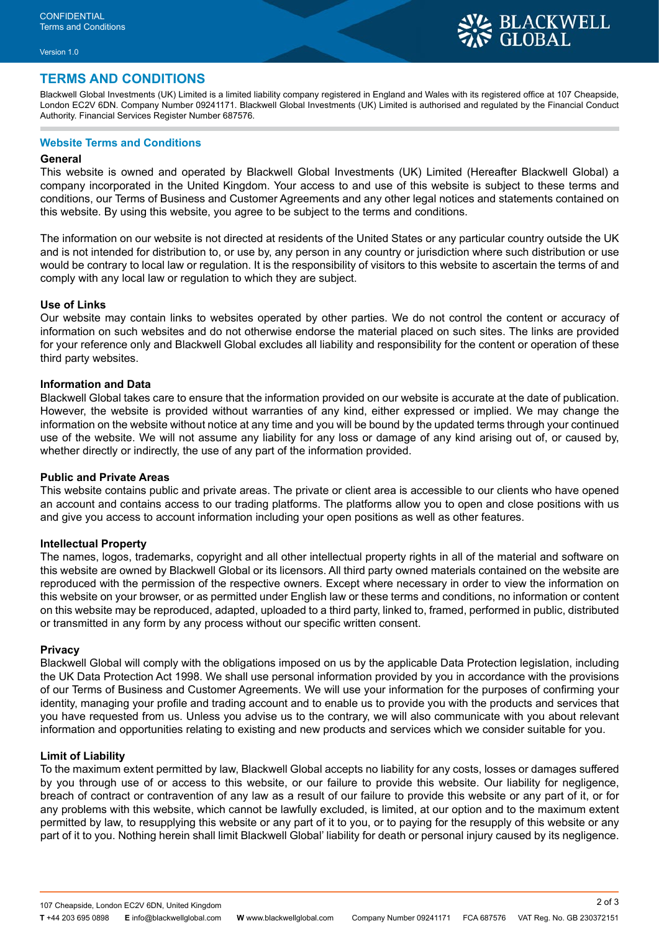## **TERMS AND CONDITIONS**

Blackwell Global Investments (UK) Limited is a limited liability company registered in England and Wales with its registered office at 107 Cheapside, London EC2V 6DN. Company Number 09241171. Blackwell Global Investments (UK) Limited is authorised and regulated by the Financial Conduct Authority. Financial Services Register Number 687576.

### **Website Terms and Conditions**

#### **General**

This website is owned and operated by Blackwell Global Investments (UK) Limited (Hereafter Blackwell Global) a company incorporated in the United Kingdom. Your access to and use of this website is subject to these terms and conditions, our Terms of Business and Customer Agreements and any other legal notices and statements contained on this website. By using this website, you agree to be subject to the terms and conditions.

The information on our website is not directed at residents of the United States or any particular country outside the UK and is not intended for distribution to, or use by, any person in any country or jurisdiction where such distribution or use would be contrary to local law or regulation. It is the responsibility of visitors to this website to ascertain the terms of and comply with any local law or regulation to which they are subject.

#### **Use of Links**

Our website may contain links to websites operated by other parties. We do not control the content or accuracy of information on such websites and do not otherwise endorse the material placed on such sites. The links are provided for your reference only and Blackwell Global excludes all liability and responsibility for the content or operation of these third party websites.

#### **Information and Data**

Blackwell Global takes care to ensure that the information provided on our website is accurate at the date of publication. However, the website is provided without warranties of any kind, either expressed or implied. We may change the information on the website without notice at any time and you will be bound by the updated terms through your continued use of the website. We will not assume any liability for any loss or damage of any kind arising out of, or caused by, whether directly or indirectly, the use of any part of the information provided.

#### **Public and Private Areas**

This website contains public and private areas. The private or client area is accessible to our clients who have opened an account and contains access to our trading platforms. The platforms allow you to open and close positions with us and give you access to account information including your open positions as well as other features.

#### **Intellectual Property**

The names, logos, trademarks, copyright and all other intellectual property rights in all of the material and software on this website are owned by Blackwell Global or its licensors. All third party owned materials contained on the website are reproduced with the permission of the respective owners. Except where necessary in order to view the information on this website on your browser, or as permitted under English law or these terms and conditions, no information or content on this website may be reproduced, adapted, uploaded to a third party, linked to, framed, performed in public, distributed or transmitted in any form by any process without our specific written consent.

#### **Privacy**

Blackwell Global will comply with the obligations imposed on us by the applicable Data Protection legislation, including the UK Data Protection Act 1998. We shall use personal information provided by you in accordance with the provisions of our Terms of Business and Customer Agreements. We will use your information for the purposes of confirming your identity, managing your profile and trading account and to enable us to provide you with the products and services that you have requested from us. Unless you advise us to the contrary, we will also communicate with you about relevant information and opportunities relating to existing and new products and services which we consider suitable for you.

#### **Limit of Liability**

To the maximum extent permitted by law, Blackwell Global accepts no liability for any costs, losses or damages suffered by you through use of or access to this website, or our failure to provide this website. Our liability for negligence, breach of contract or contravention of any law as a result of our failure to provide this website or any part of it, or for any problems with this website, which cannot be lawfully excluded, is limited, at our option and to the maximum extent permitted by law, to resupplying this website or any part of it to you, or to paying for the resupply of this website or any part of it to you. Nothing herein shall limit Blackwell Global' liability for death or personal injury caused by its negligence.